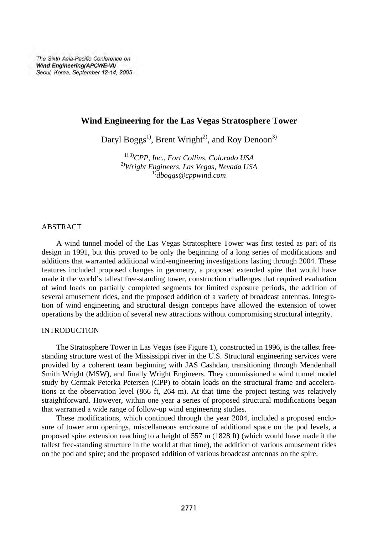The Sixth Asia-Pacific Conference on Wind Engineering(APCWE-VI) Seoul, Korea, September 12-14, 2005

# **Wind Engineering for the Las Vegas Stratosphere Tower**

Daryl Boggs<sup>1)</sup>, Brent Wright<sup>2)</sup>, and Roy Denoon<sup>3)</sup>

1),3)*CPP, Inc., Fort Collins, Colorado USA*  2)*Wright Engineers, Las Vegas, Nevada USA* 1)*dboggs@cppwind.com*

# **ABSTRACT**

A wind tunnel model of the Las Vegas Stratosphere Tower was first tested as part of its design in 1991, but this proved to be only the beginning of a long series of modifications and additions that warranted additional wind-engineering investigations lasting through 2004. These features included proposed changes in geometry, a proposed extended spire that would have made it the world's tallest free-standing tower, construction challenges that required evaluation of wind loads on partially completed segments for limited exposure periods, the addition of several amusement rides, and the proposed addition of a variety of broadcast antennas. Integration of wind engineering and structural design concepts have allowed the extension of tower operations by the addition of several new attractions without compromising structural integrity.

### INTRODUCTION

The Stratosphere Tower in Las Vegas (see Figure 1), constructed in 1996, is the tallest freestanding structure west of the Mississippi river in the U.S. Structural engineering services were provided by a coherent team beginning with JAS Cashdan, transitioning through Mendenhall Smith Wright (MSW), and finally Wright Engineers. They commissioned a wind tunnel model study by Cermak Peterka Petersen (CPP) to obtain loads on the structural frame and accelerations at the observation level (866 ft, 264 m). At that time the project testing was relatively straightforward. However, within one year a series of proposed structural modifications began that warranted a wide range of follow-up wind engineering studies.

These modifications, which continued through the year 2004, included a proposed enclosure of tower arm openings, miscellaneous enclosure of additional space on the pod levels, a proposed spire extension reaching to a height of 557 m (1828 ft) (which would have made it the tallest free-standing structure in the world at that time), the addition of various amusement rides on the pod and spire; and the proposed addition of various broadcast antennas on the spire.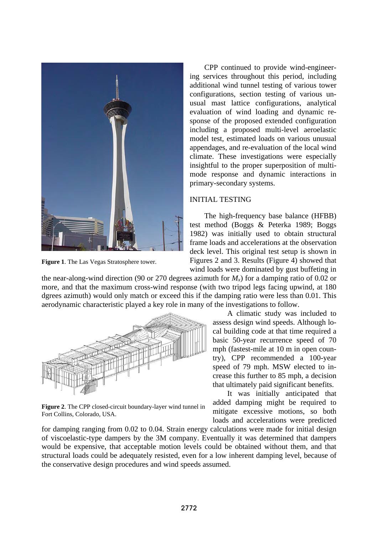

**Figure 1**. The Las Vegas Stratosphere tower.

CPP continued to provide wind-engineering services throughout this period, including additional wind tunnel testing of various tower configurations, section testing of various unusual mast lattice configurations, analytical evaluation of wind loading and dynamic response of the proposed extended configuration including a proposed multi-level aeroelastic model test, estimated loads on various unusual appendages, and re-evaluation of the local wind climate. These investigations were especially insightful to the proper superposition of multimode response and dynamic interactions in primary-secondary systems.

## INITIAL TESTING

The high-frequency base balance (HFBB) test method (Boggs & Peterka 1989; Boggs 1982) was initially used to obtain structural frame loads and accelerations at the observation deck level. This original test setup is shown in Figures 2 and 3. Results (Figure 4) showed that wind loads were dominated by gust buffeting in

the near-along-wind direction (90 or 270 degrees azimuth for  $M<sub>x</sub>$ ) for a damping ratio of 0.02 or more, and that the maximum cross-wind response (with two tripod legs facing upwind, at 180 dgrees azimuth) would only match or exceed this if the damping ratio were less than 0.01. This aerodynamic characteristic played a key role in many of the investigations to follow.



**Figure 2**. The CPP closed-circuit boundary-layer wind tunnel in Fort Collins, Colorado, USA.

A climatic study was included to assess design wind speeds. Although local building code at that time required a basic 50-year recurrence speed of 70 mph (fastest-mile at 10 m in open country), CPP recommended a 100-year speed of 79 mph. MSW elected to increase this further to 85 mph, a decision that ultimately paid significant benefits.

It was initially anticipated that added damping might be required to mitigate excessive motions, so both loads and accelerations were predicted

for damping ranging from 0.02 to 0.04. Strain energy calculations were made for initial design of viscoelastic-type dampers by the 3M company. Eventually it was determined that dampers would be expensive, that acceptable motion levels could be obtained without them, and that structural loads could be adequately resisted, even for a low inherent damping level, because of the conservative design procedures and wind speeds assumed.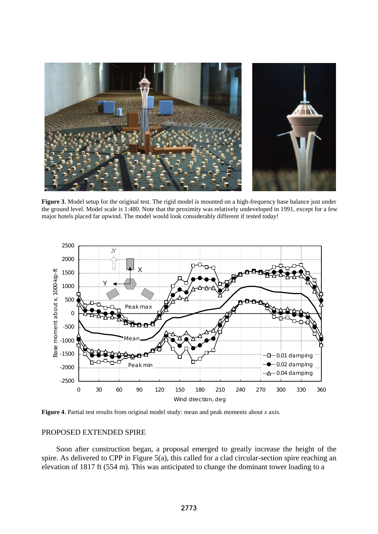

**Figure 3**. Model setup for the original test. The rigid model is mounted on a high-frequency base balance just under the ground level. Model scale is 1:480. Note that the proximity was relatively undeveloped in 1991, except for a few major hotels placed far upwind. The model would look considerably different if tested today!



**Figure 4**. Partial test results from original model study: mean and peak moments about *x* axis.

### PROPOSED EXTENDED SPIRE

Soon after construction began, a proposal emerged to greatly increase the height of the spire. As delivered to CPP in Figure 5(a), this called for a clad circular-section spire reaching an elevation of 1817 ft (554 m). This was anticipated to change the dominant tower loading to a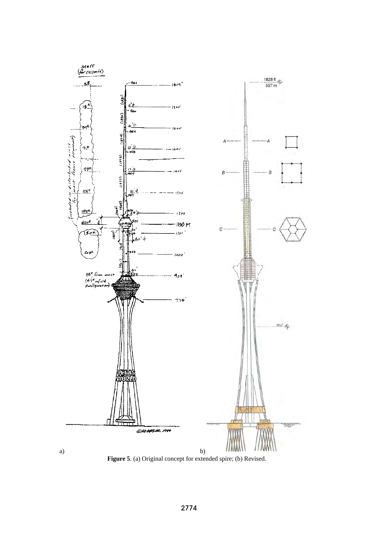

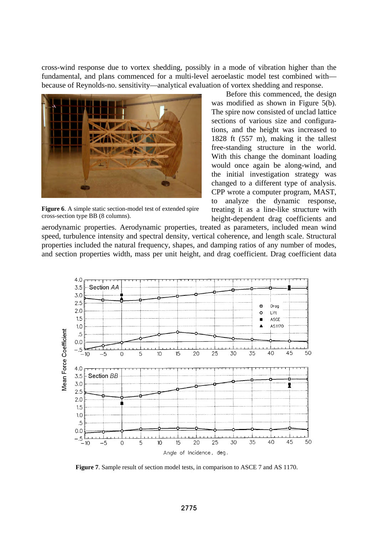cross-wind response due to vortex shedding, possibly in a mode of vibration higher than the fundamental, and plans commenced for a multi-level aeroelastic model test combined with because of Reynolds-no. sensitivity—analytical evaluation of vortex shedding and response.



**Figure 6**. A simple static section-model test of extended spire cross-section type BB (8 columns).

Before this commenced, the design was modified as shown in Figure 5(b). The spire now consisted of unclad lattice sections of various size and configurations, and the height was increased to 1828 ft (557 m), making it the tallest free-standing structure in the world. With this change the dominant loading would once again be along-wind, and the initial investigation strategy was changed to a different type of analysis. CPP wrote a computer program, MAST, to analyze the dynamic response, treating it as a line-like structure with height-dependent drag coefficients and

aerodynamic properties. Aerodynamic properties, treated as parameters, included mean wind speed, turbulence intensity and spectral density, vertical coherence, and length scale. Structural properties included the natural frequency, shapes, and damping ratios of any number of modes, and section properties width, mass per unit height, and drag coefficient. Drag coefficient data



**Figure 7**. Sample result of section model tests, in comparison to ASCE 7 and AS 1170.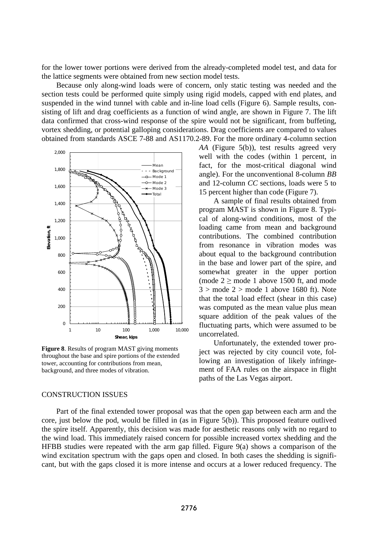for the lower tower portions were derived from the already-completed model test, and data for the lattice segments were obtained from new section model tests.

Because only along-wind loads were of concern, only static testing was needed and the section tests could be performed quite simply using rigid models, capped with end plates, and suspended in the wind tunnel with cable and in-line load cells (Figure 6). Sample results, consisting of lift and drag coefficients as a function of wind angle, are shown in Figure 7. The lift data confirmed that cross-wind response of the spire would not be significant, from buffeting, vortex shedding, or potential galloping considerations. Drag coefficients are compared to values obtained from standards ASCE 7-88 and AS1170.2-89. For the more ordinary 4-column section



**Figure 8**. Results of program MAST giving moments throughout the base and spire portions of the extended tower, accounting for contributions from mean, background, and three modes of vibration.

### CONSTRUCTION ISSUES

*AA* (Figure 5(b)), test results agreed very well with the codes (within 1 percent, in fact, for the most-critical diagonal wind angle). For the unconventional 8-column *BB* and 12-column *CC* sections, loads were 5 to 15 percent higher than code (Figure 7).

A sample of final results obtained from program MAST is shown in Figure 8. Typical of along-wind conditions, most of the loading came from mean and background contributions. The combined contribution from resonance in vibration modes was about equal to the background contribution in the base and lower part of the spire, and somewhat greater in the upper portion (mode  $2 \geq$  mode 1 above 1500 ft, and mode  $3 >$  mode  $2 >$  mode 1 above 1680 ft). Note that the total load effect (shear in this case) was computed as the mean value plus mean square addition of the peak values of the fluctuating parts, which were assumed to be uncorrelated.

Unfortunately, the extended tower project was rejected by city council vote, following an investigation of likely infringement of FAA rules on the airspace in flight paths of the Las Vegas airport.

Part of the final extended tower proposal was that the open gap between each arm and the core, just below the pod, would be filled in (as in Figure 5(b)). This proposed feature outlived the spire itself. Apparently, this decision was made for aesthetic reasons only with no regard to the wind load. This immediately raised concern for possible increased vortex shedding and the HFBB studies were repeated with the arm gap filled. Figure 9(a) shows a comparison of the wind excitation spectrum with the gaps open and closed. In both cases the shedding is significant, but with the gaps closed it is more intense and occurs at a lower reduced frequency. The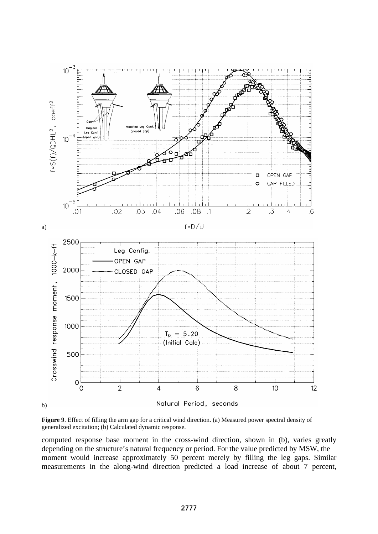

**Figure 9**. Effect of filling the arm gap for a critical wind direction. (a) Measured power spectral density of generalized excitation; (b) Calculated dynamic response.

computed response base moment in the cross-wind direction, shown in (b), varies greatly depending on the structure's natural frequency or period. For the value predicted by MSW, the moment would increase approximately 50 percent merely by filling the leg gaps. Similar measurements in the along-wind direction predicted a load increase of about 7 percent,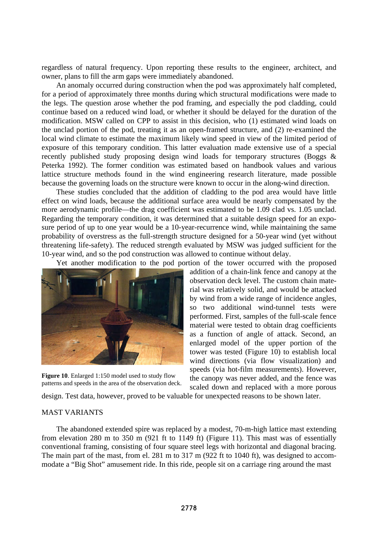regardless of natural frequency. Upon reporting these results to the engineer, architect, and owner, plans to fill the arm gaps were immediately abandoned.

An anomaly occurred during construction when the pod was approximately half completed, for a period of approximately three months during which structural modifications were made to the legs. The question arose whether the pod framing, and especially the pod cladding, could continue based on a reduced wind load, or whether it should be delayed for the duration of the modification. MSW called on CPP to assist in this decision, who (1) estimated wind loads on the unclad portion of the pod, treating it as an open-framed structure, and (2) re-examined the local wind climate to estimate the maximum likely wind speed in view of the limited period of exposure of this temporary condition. This latter evaluation made extensive use of a special recently published study proposing design wind loads for temporary structures (Boggs & Peterka 1992). The former condition was estimated based on handbook values and various lattice structure methods found in the wind engineering research literature, made possible because the governing loads on the structure were known to occur in the along-wind direction.

These studies concluded that the addition of cladding to the pod area would have little effect on wind loads, because the additional surface area would be nearly compensated by the more aerodynamic profile—the drag coefficient was estimated to be 1.09 clad vs. 1.05 unclad. Regarding the temporary condition, it was determined that a suitable design speed for an exposure period of up to one year would be a 10-year-recurrence wind, while maintaining the same probability of overstress as the full-strength structure designed for a 50-year wind (yet without threatening life-safety). The reduced strength evaluated by MSW was judged sufficient for the 10-year wind, and so the pod construction was allowed to continue without delay.

Yet another modification to the pod portion of the tower occurred with the proposed



**Figure 10**. Enlarged 1:150 model used to study flow patterns and speeds in the area of the observation deck.

addition of a chain-link fence and canopy at the observation deck level. The custom chain material was relatively solid, and would be attacked by wind from a wide range of incidence angles, so two additional wind-tunnel tests were performed. First, samples of the full-scale fence material were tested to obtain drag coefficients as a function of angle of attack. Second, an enlarged model of the upper portion of the tower was tested (Figure 10) to establish local wind directions (via flow visualization) and speeds (via hot-film measurements). However, the canopy was never added, and the fence was scaled down and replaced with a more porous

design. Test data, however, proved to be valuable for unexpected reasons to be shown later.

#### MAST VARIANTS

The abandoned extended spire was replaced by a modest, 70-m-high lattice mast extending from elevation 280 m to 350 m (921 ft to 1149 ft) (Figure 11). This mast was of essentially conventional framing, consisting of four square steel legs with horizontal and diagonal bracing. The main part of the mast, from el. 281 m to 317 m (922 ft to 1040 ft), was designed to accommodate a "Big Shot" amusement ride. In this ride, people sit on a carriage ring around the mast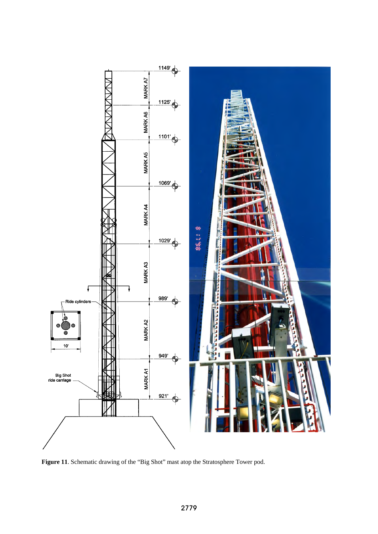

**Figure 11**. Schematic drawing of the "Big Shot" mast atop the Stratosphere Tower pod.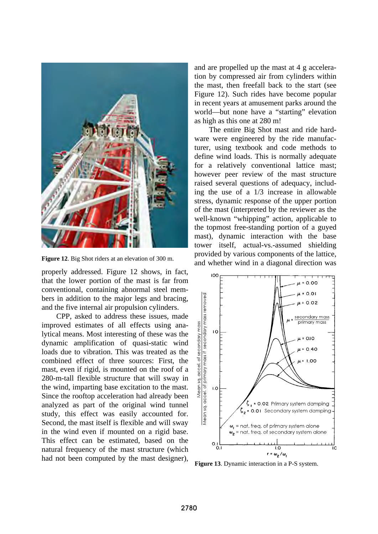

**Figure 12**. Big Shot riders at an elevation of 300 m.

properly addressed. Figure 12 shows, in fact, that the lower portion of the mast is far from conventional, containing abnormal steel members in addition to the major legs and bracing, and the five internal air propulsion cylinders.

CPP, asked to address these issues, made improved estimates of all effects using analytical means. Most interesting of these was the dynamic amplification of quasi-static wind loads due to vibration. This was treated as the combined effect of three sources: First, the mast, even if rigid, is mounted on the roof of a 280-m-tall flexible structure that will sway in the wind, imparting base excitation to the mast. Since the rooftop acceleration had already been analyzed as part of the original wind tunnel study, this effect was easily accounted for. Second, the mast itself is flexible and will sway in the wind even if mounted on a rigid base. This effect can be estimated, based on the natural frequency of the mast structure (which had not been computed by the mast designer), and are propelled up the mast at 4 g acceleration by compressed air from cylinders within the mast, then freefall back to the start (see Figure 12). Such rides have become popular in recent years at amusement parks around the world—but none have a "starting" elevation as high as this one at 280 m!

The entire Big Shot mast and ride hardware were engineered by the ride manufacturer, using textbook and code methods to define wind loads. This is normally adequate for a relatively conventional lattice mast; however peer review of the mast structure raised several questions of adequacy, including the use of a 1/3 increase in allowable stress, dynamic response of the upper portion of the mast (interpreted by the reviewer as the well-known "whipping" action, applicable to the topmost free-standing portion of a guyed mast), dynamic interaction with the base tower itself, actual-vs.-assumed shielding provided by various components of the lattice, and whether wind in a diagonal direction was



**Figure 13**. Dynamic interaction in a P-S system.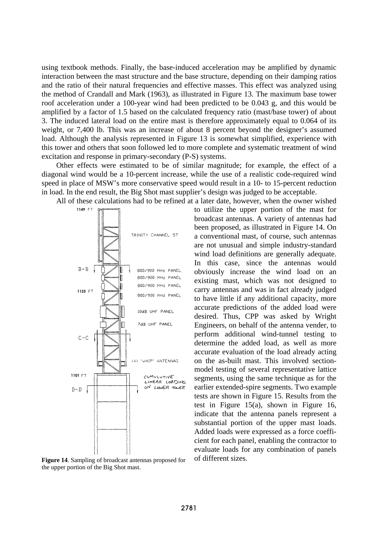using textbook methods. Finally, the base-induced acceleration may be amplified by dynamic interaction between the mast structure and the base structure, depending on their damping ratios and the ratio of their natural frequencies and effective masses. This effect was analyzed using the method of Crandall and Mark (1963), as illustrated in Figure 13. The maximum base tower roof acceleration under a 100-year wind had been predicted to be 0.043 g, and this would be amplified by a factor of 1.5 based on the calculated frequency ratio (mast/base tower) of about 3. The induced lateral load on the entire mast is therefore approximately equal to 0.064 of its weight, or 7,400 lb. This was an increase of about 8 percent beyond the designer's assumed load. Although the analysis represented in Figure 13 is somewhat simplified, experience with this tower and others that soon followed led to more complete and systematic treatment of wind excitation and response in primary-secondary (P-S) systems.

Other effects were estimated to be of similar magnitude; for example, the effect of a diagonal wind would be a 10-percent increase, while the use of a realistic code-required wind speed in place of MSW's more conservative speed would result in a 10- to 15-percent reduction in load. In the end result, the Big Shot mast supplier's design was judged to be acceptable.

All of these calculations had to be refined at a later date, however, when the owner wished



**Figure 14.** Sampling of broadcast antennas proposed for of different sizes. the upper portion of the Big Shot mast.

to utilize the upper portion of the mast for broadcast antennas. A variety of antennas had been proposed, as illustrated in Figure 14. On a conventional mast, of course, such antennas are not unusual and simple industry-standard wind load definitions are generally adequate. In this case, since the antennas would obviously increase the wind load on an existing mast, which was not designed to carry antennas and was in fact already judged to have little if any additional capacity, more accurate predictions of the added load were desired. Thus, CPP was asked by Wright Engineers, on behalf of the antenna vender, to perform additional wind-tunnel testing to determine the added load, as well as more accurate evaluation of the load already acting on the as-built mast. This involved sectionmodel testing of several representative lattice segments, using the same technique as for the earlier extended-spire segments. Two example tests are shown in Figure 15. Results from the test in Figure 15(a), shown in Figure 16, indicate that the antenna panels represent a substantial portion of the upper mast loads. Added loads were expressed as a force coefficient for each panel, enabling the contractor to evaluate loads for any combination of panels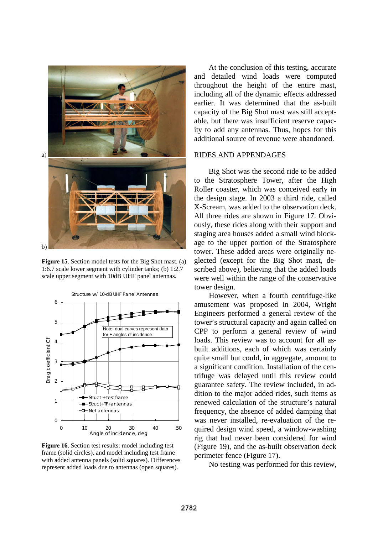

**Figure 15**. Section model tests for the Big Shot mast. (a) 1:6.7 scale lower segment with cylinder tanks; (b) 1:2.7 scale upper segment with 10dB UHF panel antennas.



**Figure 16**. Section test results: model including test frame (solid circles), and model including test frame with added antenna panels (solid squares). Differences represent added loads due to antennas (open squares).

At the conclusion of this testing, accurate and detailed wind loads were computed throughout the height of the entire mast, including all of the dynamic effects addressed earlier. It was determined that the as-built capacity of the Big Shot mast was still acceptable, but there was insufficient reserve capacity to add any antennas. Thus, hopes for this additional source of revenue were abandoned.

### RIDES AND APPENDAGES

Big Shot was the second ride to be added to the Stratosphere Tower, after the High Roller coaster, which was conceived early in the design stage. In 2003 a third ride, called X-Scream, was added to the observation deck. All three rides are shown in Figure 17. Obviously, these rides along with their support and staging area houses added a small wind blockage to the upper portion of the Stratosphere tower. These added areas were originally neglected (except for the Big Shot mast, described above), believing that the added loads were well within the range of the conservative tower design.

However, when a fourth centrifuge-like amusement was proposed in 2004, Wright Engineers performed a general review of the tower's structural capacity and again called on CPP to perform a general review of wind loads. This review was to account for all asbuilt additions, each of which was certainly quite small but could, in aggregate, amount to a significant condition. Installation of the centrifuge was delayed until this review could guarantee safety. The review included, in addition to the major added rides, such items as renewed calculation of the structure's natural frequency, the absence of added damping that was never installed, re-evaluation of the required design wind speed, a window-washing rig that had never been considered for wind (Figure 19), and the as-built observation deck perimeter fence (Figure 17).

No testing was performed for this review,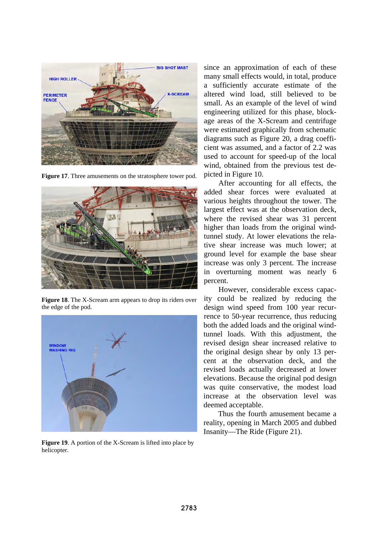

**Figure 17**. Three amusements on the stratosphere tower pod.



**Figure 18**. The X-Scream arm appears to drop its riders over the edge of the pod.



**Figure 19**. A portion of the X-Scream is lifted into place by helicopter.

since an approximation of each of these many small effects would, in total, produce a sufficiently accurate estimate of the altered wind load, still believed to be small. As an example of the level of wind engineering utilized for this phase, blockage areas of the X-Scream and centrifuge were estimated graphically from schematic diagrams such as Figure 20, a drag coefficient was assumed, and a factor of 2.2 was used to account for speed-up of the local wind, obtained from the previous test depicted in Figure 10.

After accounting for all effects, the added shear forces were evaluated at various heights throughout the tower. The largest effect was at the observation deck, where the revised shear was 31 percent higher than loads from the original windtunnel study. At lower elevations the relative shear increase was much lower; at ground level for example the base shear increase was only 3 percent. The increase in overturning moment was nearly 6 percent.

However, considerable excess capacity could be realized by reducing the design wind speed from 100 year recurrence to 50-year recurrence, thus reducing both the added loads and the original windtunnel loads. With this adjustment, the revised design shear increased relative to the original design shear by only 13 percent at the observation deck, and the revised loads actually decreased at lower elevations. Because the original pod design was quite conservative, the modest load increase at the observation level was deemed acceptable.

Thus the fourth amusement became a reality, opening in March 2005 and dubbed Insanity—The Ride (Figure 21).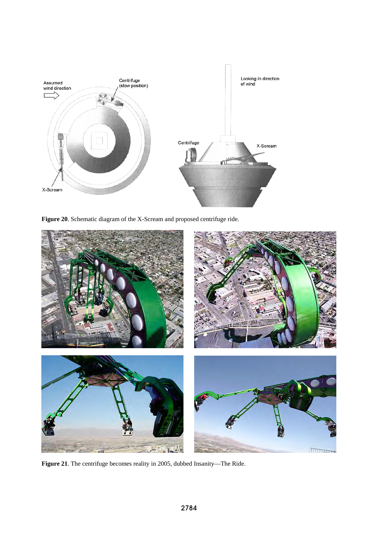

**Figure 20**. Schematic diagram of the X-Scream and proposed centrifuge ride.



**Figure 21**. The centrifuge becomes reality in 2005, dubbed Insanity—The Ride.